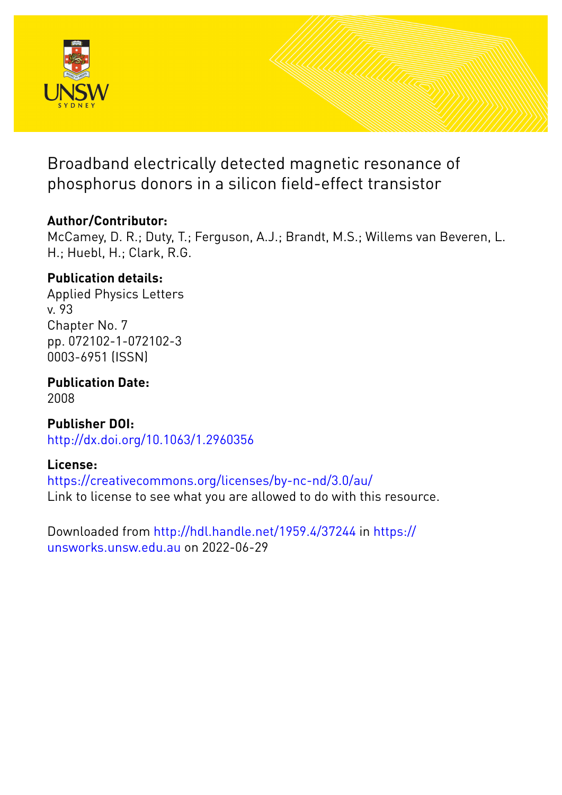

Broadband electrically detected magnetic resonance of phosphorus donors in a silicon field-effect transistor

# **Author/Contributor:**

McCamey, D. R.; Duty, T.; Ferguson, A.J.; Brandt, M.S.; Willems van Beveren, L. H.; Huebl, H.; Clark, R.G.

# **Publication details:**

Applied Physics Letters v. 93 Chapter No. 7 pp. 072102-1-072102-3 0003-6951 (ISSN)

**Publication Date:** 2008

**Publisher DOI:** [http://dx.doi.org/10.1063/1.2960356](http://dx.doi.org/http://dx.doi.org/10.1063/1.2960356)

# **License:**

<https://creativecommons.org/licenses/by-nc-nd/3.0/au/> Link to license to see what you are allowed to do with this resource.

Downloaded from <http://hdl.handle.net/1959.4/37244> in [https://](https://unsworks.unsw.edu.au) [unsworks.unsw.edu.au](https://unsworks.unsw.edu.au) on 2022-06-29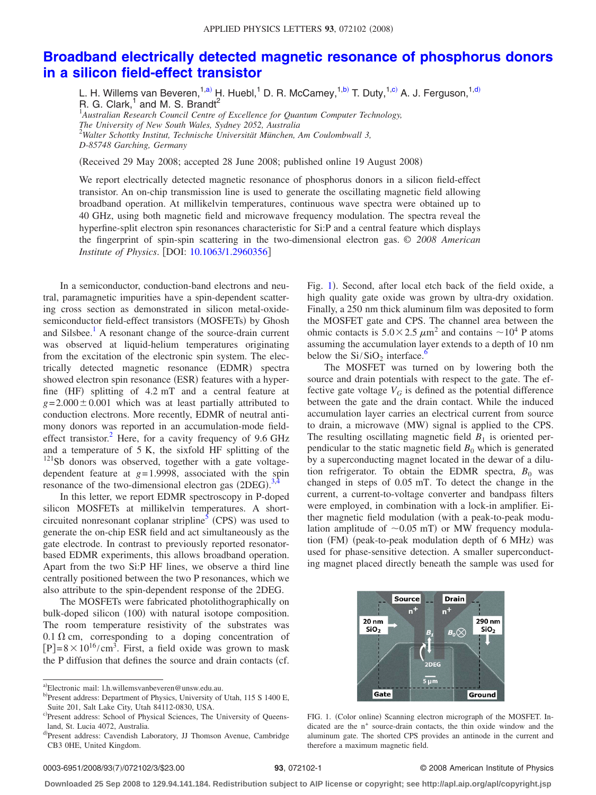## **[Broadband electrically detected magnetic resonance of phosphorus donors](http://dx.doi.org/10.1063/1.2960356) [in a silicon field-effect transistor](http://dx.doi.org/10.1063/1.2960356)**

L. H. Willems van Beveren,<sup>1[,a](#page-1-0))</sup> H. Huebl,<sup>1</sup> D. R. McCamey,<sup>1[,b](#page-1-1))</sup> T. Duty,<sup>1[,c](#page-1-2))</sup> A. J. Ferguson,<sup>1[,d](#page-1-3))</sup> R. G. Clark, $<sup>1</sup>$  and M. S. Brandt<sup>2</sup></sup>

1 *Australian Research Council Centre of Excellence for Quantum Computer Technology, The University of New South Wales, Sydney 2052, Australia* 2 *Walter Schottky Institut, Technische Universität München, Am Coulombwall 3, D-85748 Garching, Germany*

Received 29 May 2008; accepted 28 June 2008; published online 19 August 2008-

We report electrically detected magnetic resonance of phosphorus donors in a silicon field-effect transistor. An on-chip transmission line is used to generate the oscillating magnetic field allowing broadband operation. At millikelvin temperatures, continuous wave spectra were obtained up to 40 GHz, using both magnetic field and microwave frequency modulation. The spectra reveal the hyperfine-split electron spin resonances characteristic for Si:P and a central feature which displays the fingerprint of spin-spin scattering in the two-dimensional electron gas. © *2008 American Institute of Physics*. DOI: [10.1063/1.2960356](http://dx.doi.org/10.1063/1.2960356)

In a semiconductor, conduction-band electrons and neutral, paramagnetic impurities have a spin-dependent scattering cross section as demonstrated in silicon metal-oxidesemiconductor field-effect transistors (MOSFETs) by Ghosh and Silsbee.<sup>1</sup> A resonant change of the source-drain current was observed at liquid-helium temperatures originating from the excitation of the electronic spin system. The electrically detected magnetic resonance (EDMR) spectra showed electron spin resonance (ESR) features with a hyperfine (HF) splitting of 4.2 mT and a central feature at  $g = 2.000 \pm 0.001$  which was at least partially attributed to conduction electrons. More recently, EDMR of neutral antimony donors was reported in an accumulation-mode fieldeffect transistor.<sup>2</sup> Here, for a cavity frequency of  $9.6$  GHz and a temperature of 5 K, the sixfold HF splitting of the <sup>121</sup>Sb donors was observed, together with a gate voltagedependent feature at *g*= 1.9998, associated with the spin resonance of the two-dimensional electron gas  $(2DEG)$ .<sup>[3,](#page-3-2)[4](#page-3-3)</sup>

In this letter, we report EDMR spectroscopy in P-doped silicon MOSFETs at millikelvin temperatures. A shortcircuited nonresonant coplanar stripline<sup>5</sup> (CPS) was used to generate the on-chip ESR field and act simultaneously as the gate electrode. In contrast to previously reported resonatorbased EDMR experiments, this allows broadband operation. Apart from the two Si:P HF lines, we observe a third line centrally positioned between the two P resonances, which we also attribute to the spin-dependent response of the 2DEG.

The MOSFETs were fabricated photolithographically on bulk-doped silicon (100) with natural isotope composition. The room temperature resistivity of the substrates was  $0.1 \Omega$  cm, corresponding to a doping concentration of  $[P]= 8 \times 10^{16} / \text{cm}^3$ . First, a field oxide was grown to mask the P diffusion that defines the source and drain contacts (cf.

Fig. [1](#page-1-4)). Second, after local etch back of the field oxide, a high quality gate oxide was grown by ultra-dry oxidation. Finally, a 250 nm thick aluminum film was deposited to form the MOSFET gate and CPS. The channel area between the ohmic contacts is  $5.0 \times 2.5 \ \mu m^2$  and contains  $\sim 10^4$  P atoms assuming the accumulation layer extends to a depth of 10 nm below the  $Si/SiO<sub>2</sub>$  interface.<sup>6</sup>

The MOSFET was turned on by lowering both the source and drain potentials with respect to the gate. The effective gate voltage  $V_G$  is defined as the potential difference between the gate and the drain contact. While the induced accumulation layer carries an electrical current from source to drain, a microwave (MW) signal is applied to the CPS. The resulting oscillating magnetic field  $B_1$  is oriented perpendicular to the static magnetic field  $B_0$  which is generated by a superconducting magnet located in the dewar of a dilution refrigerator. To obtain the EDMR spectra,  $B_0$  was changed in steps of 0.05 mT. To detect the change in the current, a current-to-voltage converter and bandpass filters were employed, in combination with a lock-in amplifier. Either magnetic field modulation (with a peak-to-peak modulation amplitude of  $\sim 0.05$  mT) or MW frequency modulation (FM) (peak-to-peak modulation depth of 6 MHz) was used for phase-sensitive detection. A smaller superconducting magnet placed directly beneath the sample was used for

<span id="page-1-4"></span>

FIG. 1. (Color online) Scanning electron micrograph of the MOSFET. Indicated are the n<sup>+</sup> source-drain contacts, the thin oxide window and the aluminum gate. The shorted CPS provides an antinode in the current and therefore a maximum magnetic field.

### **93**, 072102-1 © 2008 American Institute of Physics

**Downloaded 25 Sep 2008 to 129.94.141.184. Redistribution subject to AIP license or copyright; see http://apl.aip.org/apl/copyright.jsp**

<span id="page-1-2"></span><span id="page-1-1"></span><span id="page-1-0"></span>a)Electronic mail: l.h.willemsvanbeveren@unsw.edu.au.

<span id="page-1-3"></span>b)Present address: Department of Physics, University of Utah, 115 S 1400 E, Suite 201, Salt Lake City, Utah 84112-0830, USA.

c)Present address: School of Physical Sciences, The University of Queensland, St. Lucia 4072, Australia.

d)Present address: Cavendish Laboratory, JJ Thomson Avenue, Cambridge CB3 0HE, United Kingdom.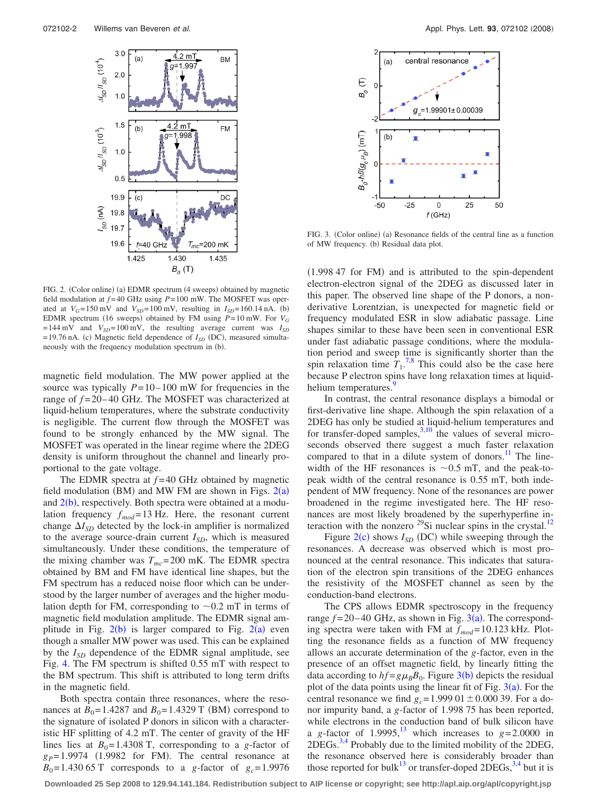<span id="page-2-0"></span>

FIG. 2. (Color online) (a) EDMR spectrum (4 sweeps) obtained by magnetic field modulation at  $f = 40$  GHz using  $P = 100$  mW. The MOSFET was operated at  $V_G$ =150 mV and  $V_{SD}$ =100 mV, resulting in  $I_{SD}$ =160.14 nA. (b) EDMR spectrum (16 sweeps) obtained by FM using  $P = 10$  mW. For  $V_G$  $= 144$  mV and  $V_{SD} = 100$  mV, the resulting average current was  $I_{SD}$  $= 19.76$  nA. (c) Magnetic field dependence of  $I_{SD}$  (DC), measured simultaneously with the frequency modulation spectrum in (b).

magnetic field modulation. The MW power applied at the source was typically  $P = 10 - 100$  mW for frequencies in the range of  $f = 20 - 40$  GHz. The MOSFET was characterized at liquid-helium temperatures, where the substrate conductivity is negligible. The current flow through the MOSFET was found to be strongly enhanced by the MW signal. The MOSFET was operated in the linear regime where the 2DEG density is uniform throughout the channel and linearly proportional to the gate voltage.

The EDMR spectra at  $f=40$  GHz obtained by magnetic field modulation (BM) and MW FM are shown in Figs.  $2(a)$  $2(a)$ and  $2(b)$  $2(b)$ , respectively. Both spectra were obtained at a modulation frequency  $f_{mod} = 13$  Hz. Here, the resonant current change  $\Delta I_{SD}$  detected by the lock-in amplifier is normalized to the average source-drain current  $I_{SD}$ , which is measured simultaneously. Under these conditions, the temperature of the mixing chamber was  $T_{mc}$ = 200 mK. The EDMR spectra obtained by BM and FM have identical line shapes, but the FM spectrum has a reduced noise floor which can be understood by the larger number of averages and the higher modulation depth for FM, corresponding to  $\sim 0.2$  mT in terms of magnetic field modulation amplitude. The EDMR signal amplitude in Fig.  $2(b)$  $2(b)$  is larger compared to Fig.  $2(a)$  even though a smaller MW power was used. This can be explained by the *I<sub>SD</sub>* dependence of the EDMR signal amplitude, see Fig. [4.](#page-3-6) The FM spectrum is shifted 0.55 mT with respect to the BM spectrum. This shift is attributed to long term drifts in the magnetic field.

Both spectra contain three resonances, where the resonances at  $B_0 = 1.4287$  and  $B_0 = 1.4329$  T (BM) correspond to the signature of isolated P donors in silicon with a characteristic HF splitting of 4.2 mT. The center of gravity of the HF lines lies at  $B_0 = 1.4308$  T, corresponding to a *g*-factor of  $g_P = 1.9974$  (1.9982 for FM). The central resonance at  $B_0 = 1.430 65$  T corresponds to a *g*-factor of  $g_c = 1.9976$ 

<span id="page-2-1"></span>

FIG. 3. (Color online) (a) Resonance fields of the central line as a function of MW frequency. (b) Residual data plot.

(1.998 47 for FM) and is attributed to the spin-dependent electron-electron signal of the 2DEG as discussed later in this paper. The observed line shape of the P donors, a nonderivative Lorentzian, is unexpected for magnetic field or frequency modulated ESR in slow adiabatic passage. Line shapes similar to these have been seen in conventional ESR under fast adiabatic passage conditions, where the modulation period and sweep time is significantly shorter than the spin relaxation time  $T_1$ <sup>[7,](#page-3-7)[8](#page-3-8)</sup>. This could also be the case here because P electron spins have long relaxation times at liquidhelium temperatures.

In contrast, the central resonance displays a bimodal or first-derivative line shape. Although the spin relaxation of a 2DEG has only be studied at liquid-helium temperatures and for transfer-doped samples, $3,10$  $3,10$  the values of several microseconds observed there suggest a much faster relaxation compared to that in a dilute system of donors.<sup>11</sup> The linewidth of the HF resonances is  $\sim 0.5$  mT, and the peak-topeak width of the central resonance is 0.55 mT, both independent of MW frequency. None of the resonances are power broadened in the regime investigated here. The HF resonances are most likely broadened by the superhyperfine interaction with the nonzero  $^{29}$ Si nuclear spins in the crystal.<sup>12</sup>

Figure  $2(c)$  $2(c)$  shows  $I_{SD}$  (DC) while sweeping through the resonances. A decrease was observed which is most pronounced at the central resonance. This indicates that saturation of the electron spin transitions of the 2DEG enhances the resistivity of the MOSFET channel as seen by the conduction-band electrons.

The CPS allows EDMR spectroscopy in the frequency range  $f = 20 - 40$  GHz, as shown in Fig.  $3(a)$  $3(a)$ . The corresponding spectra were taken with FM at  $f_{mod}=10.123$  kHz. Plotting the resonance fields as a function of MW frequency allows an accurate determination of the *g*-factor, even in the presence of an offset magnetic field, by linearly fitting the data according to  $hf = g\mu_B B_0$ . Figure [3](#page-2-1)(b) depicts the residual plot of the data points using the linear fit of Fig.  $3(a)$  $3(a)$ . For the central resonance we find  $g_c = 1.999 \text{ }01 \pm 0.000 \text{ }39$ . For a donor impurity band, a *g*-factor of 1.998 75 has been reported, while electrons in the conduction band of bulk silicon have a *g*-factor of 1.9995,<sup>13</sup> which increases to  $g=2.0000$  in  $2DEGs.<sup>3,4</sup>$  $2DEGs.<sup>3,4</sup>$  $2DEGs.<sup>3,4</sup>$  Probably due to the limited mobility of the  $2DEG$ , the resonance observed here is considerably broader than those reported for bulk<sup>13</sup> or transfer-doped 2DEGs,  $3,4$  $3,4$  but it is

**Downloaded 25 Sep 2008 to 129.94.141.184. Redistribution subject to AIP license or copyright; see http://apl.aip.org/apl/copyright.jsp**